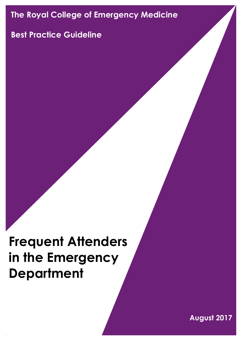# **The Royal College of Emergency Medicine**

## **Best Practice Guideline**

# **Frequent Attenders in the Emergency Department**

**August 2017**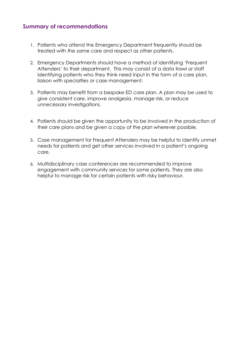## **Summary of recommendations**

- 1. Patients who attend the Emergency Department frequently should be treated with the same care and respect as other patients.
- 2. Emergency Departments should have a method of identifying 'Frequent Attenders' to their department. This may consist of a data trawl or staff identifying patients who they think need input in the form of a care plan, liaison with specialties or case management.
- 3. Patients may benefit from a bespoke ED care plan. A plan may be used to give consistent care, improve analgesia, manage risk, or reduce unnecessary investigations.
- 4. Patients should be given the opportunity to be involved in the production of their care plans and be given a copy of the plan wherever possible.
- 5. Case management for Frequent Attenders may be helpful to identify unmet needs for patients and get other services involved in a patient's ongoing care.
- 6. Multidisciplinary case conferences are recommended to improve engagement with community services for some patients. They are also helpful to manage risk for certain patients with risky behaviour.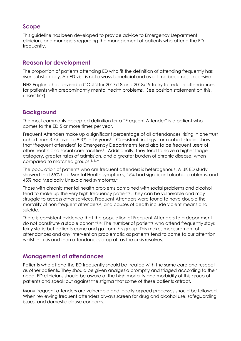## **Scope**

This guideline has been developed to provide advice to Emergency Department clinicians and managers regarding the management of patients who attend the ED frequently.

## **Reason for development**

The proportion of patients attending ED who fit the definition of attending frequently has risen substantially. An ED visit is not always beneficial and over time becomes expensive.

NHS England has devised a CQUIN for 2017/18 and 2018/19 to try to reduce attendances for patients with predominantly mental health problems<sup>i</sup> . See position statement on this. (Insert link)

## **Background**

The most commonly accepted definition for a "Frequent Attender" is a patient who comes to the ED 5 or more times per year.

Frequent Attenders make up a significant percentage of all attendances, rising in one trust cohort from 3.7% over to 9.3% in 15 years<sup>ii</sup>. Consistent findings from cohort studies show that 'frequent attenders' to Emergency Departments tend also to be frequent users of other health and social care facilities<sup>ii</sup>. Additionally, they tend to have a higher triage category, greater rates of admission, and a greater burden of chronic disease, when compared to matched groups.iii, iv,v

The population of patients who are frequent attenders is heterogenous. A UK ED study showed that 65% had Mental Health symptoms, 15% had significant alcohol problems, and 45% had Medically Unexplained symptoms.vi

Those with chronic mental health problems combined with social problems and alcohol tend to make up the very high frequency patients. They can be vulnerable and may struggle to access other services. Frequent Attenders were found to have double the mortality of non-frequent attenders<sup>vii</sup>, and causes of death include violent means and suicide.

There is consistent evidence that the population of Frequent Attenders to a department do not constitute a stable cohort viii, ix; The number of patients who attend frequently stays fairly static but patients come and go from this group. This makes measurement of attendances and any intervention problematic as patients tend to come to our attention whilst in crisis and then attendances drop off as the crisis resolves.

## **Management of attendances**

Patients who attend the ED frequently should be treated with the same care and respect as other patients. They should be given analgesia promptly and triaged according to their need. ED clinicians should be aware of the high mortality and morbidity of this group of patients and speak out against the stigma that some of these patients attract.

Many frequent attenders are vulnerable and locally agreed processes should be followed. When reviewing frequent attenders always screen for drug and alcohol use, safeguarding issues, and domestic abuse concerns.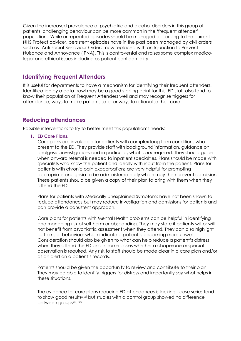Given the increased prevalence of psychiatric and alcohol disorders in this group of patients, challenging behaviour can be more common in the 'frequent attender' population. While or repeated episodes should be managed according to the current NHS Protect advice<sup>x</sup>, persistent episodes have in the past been managed by civil orders such as 'Anti-social Behaviour Orders' now replaced with an Injunction to Prevent Nuisance and Annoyance (IPNA). This is controversial and raises some complex medicolegal and ethical issues including as patient confidentiality.

## **Identifying Frequent Attenders**

It is useful for departments to have a mechanism for identifying their frequent attenders. Identification by a data trawl may be a good starting point for this. ED staff also tend to know their population of Frequent Attenders well and may recognise triggers for attendance, ways to make patients safer or ways to rationalise their care.

## **Reducing attendances**

Possible interventions to try to better meet this population's needs:

**1. ED Care Plans.**

Care plans are invaluable for patients with complex long term conditions who present to the ED. They provide staff with background information, guidance on analgesia, investigations and in particular, what is *not* required. They should guide when onward referral is needed to inpatient specialties. Plans should be made with specialists who know the patient and ideally with input from the patient. Plans for patients with chronic pain exacerbations are very helpful for prompting appropriate analgesia to be administered early which may then prevent admission. These patients should be given a copy of their plan to bring with them when they attend the ED.

Plans for patients with Medically Unexplained Symptoms have not been shown to reduce attendances but may reduce investigation and admissions for patients and can provide a consistent approach.

Care plans for patients with Mental Health problems can be helpful in identifying and managing risk of self-harm or absconding. They may state if patients will or will not benefit from psychiatric assessment when they attend. They can also highlight patterns of behaviour which indicate a patient is becoming more unwell. Consideration should also be given to what can help reduce a patient's distress when they attend the ED and in some cases whether a chaperone or special observation is required. Any risk to staff should be made clear in a care plan and/or as an alert on a patient's records.

Patients should be given the opportunity to review and contribute to their plan. They may be able to identify triggers for distress and importantly say what helps in these situations.

The evidence for care plans reducing ED attendances is lacking - case series tend to show good resultsxi, xii but studies with a control group showed no difference between groups<sup>xiii</sup>. xiv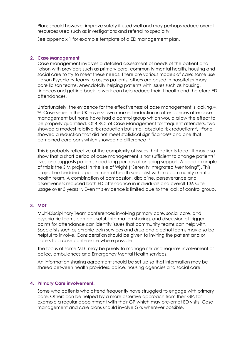Plans should however improve safety if used well and may perhaps reduce overall resources used such as investigations and referral to specialty.

See appendix 1 for example template of a ED management plan.

#### **2. Case Management**

Case management involves a detailed assessment of needs of the patient and liaison with providers such as primary care, community mental health, housing and social care to try to meet these needs. There are various models of care: some use Liaison Psychiatry teams to assess patients, others are based in hospital primary care liaison teams. Anecdotally helping patients with issues such as housing, finances and getting back to work can help reduce their ill health and therefore ED attendances.

Unfortunately, the evidence for the effectiveness of case management is lacking.xv, xvi . Case series in the UK have shown marked reduction in attendances after case management but none have had a control group which would allow the effect to be properly quantified. Of 4 RCT of Case Management for frequent attenders, two showed a modest relative risk reduction but small absolute risk reduction<sup>xvii</sup>, <sup>xviii</sup>one showed a reduction that did not meet statistical significancexix and one that combined care pans which showed no difference xiii.

This is probably reflective of the complexity of issues that patients face. It may also show that a short period of case management is not sufficient to change patients' lives and suggests patients need long periods of ongoing support. A good example of this is the SIM project in the Isle of Wight ("Serenity Integrated Mentoring"). This project embedded a police mental health specialist within a community mental health team. A combination of compassion, discipline, perseverance and assertiveness reduced both ED attendance in individuals and overall 136 suite usage over 3 years  $\infty$ . Even this evidence is limited due to the lack of control group.

#### **3. MDT**

Multi-Disciplinary Team conferences involving primary care, social care, and psychiatric teams can be useful. Information sharing, and discussion of trigger points for attendance can identify issues that community teams can help with. Specialists such as chronic pain services and drug and alcohol teams may also be helpful to involve. Consideration should be given to inviting the patient and or carers to a case conference where possible.

The focus of some MDT may be purely to manage risk and requires involvement of police, ambulances and Emergency Mental Health services.

An information sharing agreement should be set up so that information may be shared between health providers, police, housing agencies and social care.

#### **4. Primary Care involvement.**

Some who patients who attend frequently have struggled to engage with primary care. Others can be helped by a more assertive approach from their GP, for example a regular appointment with their GP which may pre-empt ED visits. Case management and care plans should involve GPs wherever possible.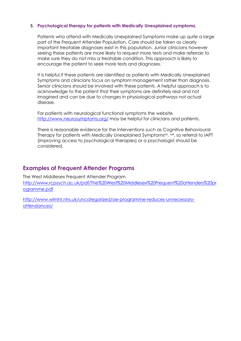#### **5. Psychological therapy for patients with Medically Unexplained symptoms.**

Patients who attend with Medically Unexplained Symptoms make up quite a large part of the Frequent Attender Population. Care should be taken as clearly important treatable diagnoses exist in this population. Junior clinicians however seeing these patients are more likely to request more tests and make referrals to make sure they do not miss a treatable condition. This approach is likely to encourage the patient to seek more tests and diagnoses.

It is helpful if these patients are identified as patients with Medically Unexplained Symptoms and clinicians focus on symptom management rather than diagnosis. Senior clinicians should be involved with these patients. A helpful approach is to acknowledge to the patient that their symptoms are definitely real and not imagined and can be due to changes in physiological pathways not actual disease.

For patients with neurological functional symptoms the website <http://www.neurosymptoms.org/> may be helpful for clinicians and patients.

There is reasonable evidence for the interventions such as Cognitive Behavioural Therapy for patients with Medically Unexplained Symptoms<sup>xxi</sup>, <sup>xxii</sup>, so referral to IAPT (improving access to psychological therapies) or a psychologist should be considered.

## **Examples of Frequent Attender Programs**

The West Middlesex Frequent Attender Program [http://www.rcpsych.ac.uk/pdf/The%20West%20Middlesex%20Frequent%20attenders%20pr](http://www.rcpsych.ac.uk/pdf/The%20West%20Middlesex%20Frequent%20attenders%20programme.pdf) [ogramme.pdf](http://www.rcpsych.ac.uk/pdf/The%20West%20Middlesex%20Frequent%20attenders%20programme.pdf)

[http://www.wlmht.nhs.uk/uncategorized/ae-programme-reduces-unnecessary](http://www.wlmht.nhs.uk/uncategorized/ae-programme-reduces-unnecessary-attendances/)[attendances/](http://www.wlmht.nhs.uk/uncategorized/ae-programme-reduces-unnecessary-attendances/)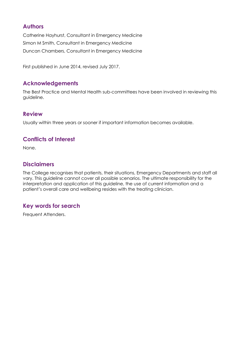## **Authors**

Catherine Hayhurst, Consultant in Emergency Medicine Simon M Smith, Consultant in Emergency Medicine Duncan Chambers, Consultant in Emergency Medicine

First published in June 2014, revised July 2017.

## **Acknowledgements**

The Best Practice and Mental Health sub-committees have been involved in reviewing this guideline.

## **Review**

Usually within three years or sooner if important information becomes available.

## **Conflicts of Interest**

None.

## **Disclaimers**

The College recognises that patients, their situations, Emergency Departments and staff all vary. This guideline cannot cover all possible scenarios. The ultimate responsibility for the interpretation and application of this guideline, the use of current information and a patient's overall care and wellbeing resides with the treating clinician.

## **Key words for search**

Frequent Attenders.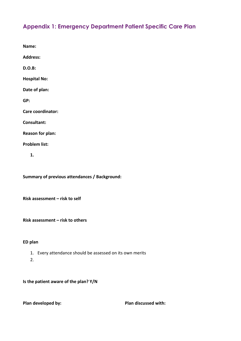## **Appendix 1: Emergency Department Patient Specific Care Plan**

**Name: Address: D.O.B: Hospital No: Date of plan: GP: Care coordinator: Consultant: Reason for plan: Problem list:**

**1.**

**Summary of previous attendances / Background:**

**Risk assessment – risk to self**

**Risk assessment – risk to others**

#### **ED plan**

- 1. Every attendance should be assessed on its own merits
- 2.

**Is the patient aware of the plan? Y/N**

**Plan developed by: Plan discussed with:**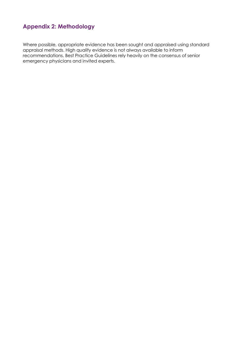## **Appendix 2: Methodology**

Where possible, appropriate evidence has been sought and appraised using standard appraisal methods. High quality evidence is not always available to inform recommendations. Best Practice Guidelines rely heavily on the consensus of senior emergency physicians and invited experts.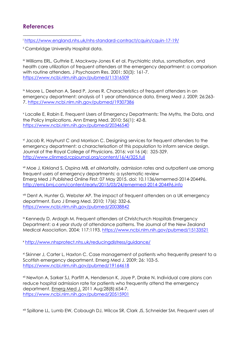## **References**

1 <sup>i</sup> <https://www.england.nhs.uk/nhs-standard-contract/cquin/cquin-17-19/>

ii Cambridge University Hospital data.

iii Williams ERL, Guthrie E, Mackway-Jones K et al. Psychiatric status, somatisation, and health care utilization of frequent attenders at the emergency department: a comparison with routine attenders. J Psychosom Res. 2001; 50(3): 161-7. <https://www.ncbi.nlm.nih.gov/pubmed/11316509>

iv Moore L, Deehan A, Seed P, Jones R. Characteristics of frequent attenders in an emergency department: analysis of 1 year attendance data. Emerg Med J. 2009; 26:263- 7.<https://www.ncbi.nlm.nih.gov/pubmed/19307386>

v Lacalle E, Rabin E. Frequent Users of Emergency Departments: The Myths, the Data, and the Policy Implications. Ann Emerg Med. 2010; 56(1): 42-8. <https://www.ncbi.nlm.nih.gov/pubmed/20346540>

vi Jacob R, Hayhurst C and Morrison C. Designing services for frequent attenders to the emergency department: a characterisation of this population to inform service design. Journal of the Royal College of Physicians. 2016: vol 16 (4): 325-329. <http://www.clinmed.rcpjournal.org/content/16/4/325.full>

vii Moe J, Kirkland S, Ospina MB*, et al*Mortality, admission rates and outpatient use among frequent users of emergency departments: a systematic review Emerg Med J Published Online First: 07 May 2015. doi: 10.1136/emermed-2014-204496. <http://emj.bmj.com/content/early/2015/03/24/emermed-2014-204496.info>

viii Dent A, Hunter G, Webster AP. The impact of frequent attenders on a UK emergency department. Euro J Emerg Med. 2010; 17(6): 332-6. <https://www.ncbi.nlm.nih.gov/pubmed/20038842>

ix Kennedy D, Ardagh M. Frequent attenders at Christchurch Hospitals Emergency Department: a 4 year study of attendance patterns. The Journal of the New Zealand Medical Association. 2004; 117:1193.<https://www.ncbi.nlm.nih.gov/pubmed/15133521>

<sup>x</sup> <http://www.nhsprotect.nhs.uk/reducingdistress/guidance/>

xi Skinner J, Carter L, Haxton C. Case management of patients who frequently present to a Scottish emergency department. Emerg Med J. 2009; 26: 103-5. <https://www.ncbi.nlm.nih.gov/pubmed/19164618>

xii Newton A, Sarker SJ, Parfitt A, Henderson K, Jaye P, Drake N. Individual care plans can reduce hospital admission rate for patients who frequently attend the emergency department. [Emerg Med J.](https://www.ncbi.nlm.nih.gov/pubmed/20515901) 2011 Aug;28(8):654-7. <https://www.ncbi.nlm.nih.gov/pubmed/20515901>

xiii Spillane LL, Lumb EW, Cobaugh DJ, Wilcox SR, Clark JS, Schneider SM. Frequent users of